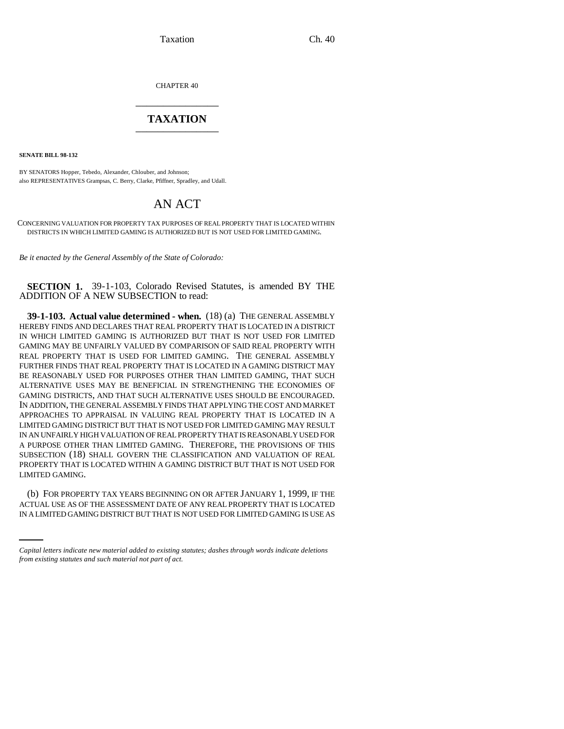Taxation Ch. 40

CHAPTER 40 \_\_\_\_\_\_\_\_\_\_\_\_\_\_\_

## **TAXATION** \_\_\_\_\_\_\_\_\_\_\_\_\_\_\_

**SENATE BILL 98-132**

BY SENATORS Hopper, Tebedo, Alexander, Chlouber, and Johnson; also REPRESENTATIVES Grampsas, C. Berry, Clarke, Pfiffner, Spradley, and Udall.

## AN ACT

CONCERNING VALUATION FOR PROPERTY TAX PURPOSES OF REAL PROPERTY THAT IS LOCATED WITHIN DISTRICTS IN WHICH LIMITED GAMING IS AUTHORIZED BUT IS NOT USED FOR LIMITED GAMING.

*Be it enacted by the General Assembly of the State of Colorado:*

**SECTION 1.** 39-1-103, Colorado Revised Statutes, is amended BY THE ADDITION OF A NEW SUBSECTION to read:

**39-1-103. Actual value determined - when.** (18) (a) THE GENERAL ASSEMBLY HEREBY FINDS AND DECLARES THAT REAL PROPERTY THAT IS LOCATED IN A DISTRICT IN WHICH LIMITED GAMING IS AUTHORIZED BUT THAT IS NOT USED FOR LIMITED GAMING MAY BE UNFAIRLY VALUED BY COMPARISON OF SAID REAL PROPERTY WITH REAL PROPERTY THAT IS USED FOR LIMITED GAMING. THE GENERAL ASSEMBLY FURTHER FINDS THAT REAL PROPERTY THAT IS LOCATED IN A GAMING DISTRICT MAY BE REASONABLY USED FOR PURPOSES OTHER THAN LIMITED GAMING, THAT SUCH ALTERNATIVE USES MAY BE BENEFICIAL IN STRENGTHENING THE ECONOMIES OF GAMING DISTRICTS, AND THAT SUCH ALTERNATIVE USES SHOULD BE ENCOURAGED. IN ADDITION, THE GENERAL ASSEMBLY FINDS THAT APPLYING THE COST AND MARKET APPROACHES TO APPRAISAL IN VALUING REAL PROPERTY THAT IS LOCATED IN A LIMITED GAMING DISTRICT BUT THAT IS NOT USED FOR LIMITED GAMING MAY RESULT IN AN UNFAIRLY HIGH VALUATION OF REAL PROPERTY THAT IS REASONABLY USED FOR A PURPOSE OTHER THAN LIMITED GAMING. THEREFORE, THE PROVISIONS OF THIS SUBSECTION (18) SHALL GOVERN THE CLASSIFICATION AND VALUATION OF REAL PROPERTY THAT IS LOCATED WITHIN A GAMING DISTRICT BUT THAT IS NOT USED FOR LIMITED GAMING.

(b) FOR PROPERTY TAX YEARS BEGINNING ON OR AFTER JANUARY 1, 1999, IF THE ACTUAL USE AS OF THE ASSESSMENT DATE OF ANY REAL PROPERTY THAT IS LOCATED IN A LIMITED GAMING DISTRICT BUT THAT IS NOT USED FOR LIMITED GAMING IS USE AS

*Capital letters indicate new material added to existing statutes; dashes through words indicate deletions from existing statutes and such material not part of act.*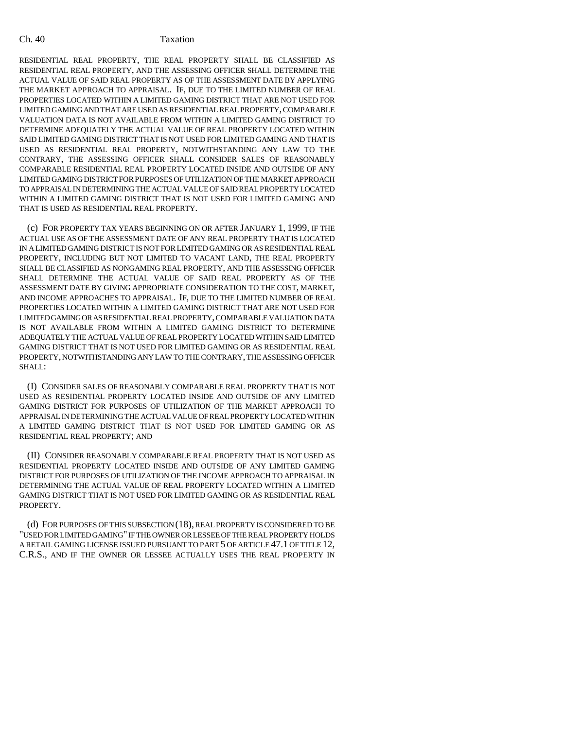## Ch. 40 Taxation

RESIDENTIAL REAL PROPERTY, THE REAL PROPERTY SHALL BE CLASSIFIED AS RESIDENTIAL REAL PROPERTY, AND THE ASSESSING OFFICER SHALL DETERMINE THE ACTUAL VALUE OF SAID REAL PROPERTY AS OF THE ASSESSMENT DATE BY APPLYING THE MARKET APPROACH TO APPRAISAL. IF, DUE TO THE LIMITED NUMBER OF REAL PROPERTIES LOCATED WITHIN A LIMITED GAMING DISTRICT THAT ARE NOT USED FOR LIMITED GAMING AND THAT ARE USED AS RESIDENTIAL REAL PROPERTY, COMPARABLE VALUATION DATA IS NOT AVAILABLE FROM WITHIN A LIMITED GAMING DISTRICT TO DETERMINE ADEQUATELY THE ACTUAL VALUE OF REAL PROPERTY LOCATED WITHIN SAID LIMITED GAMING DISTRICT THAT IS NOT USED FOR LIMITED GAMING AND THAT IS USED AS RESIDENTIAL REAL PROPERTY, NOTWITHSTANDING ANY LAW TO THE CONTRARY, THE ASSESSING OFFICER SHALL CONSIDER SALES OF REASONABLY COMPARABLE RESIDENTIAL REAL PROPERTY LOCATED INSIDE AND OUTSIDE OF ANY LIMITED GAMING DISTRICT FOR PURPOSES OF UTILIZATION OF THE MARKET APPROACH TO APPRAISAL IN DETERMINING THE ACTUAL VALUE OF SAID REAL PROPERTY LOCATED WITHIN A LIMITED GAMING DISTRICT THAT IS NOT USED FOR LIMITED GAMING AND THAT IS USED AS RESIDENTIAL REAL PROPERTY.

(c) FOR PROPERTY TAX YEARS BEGINNING ON OR AFTER JANUARY 1, 1999, IF THE ACTUAL USE AS OF THE ASSESSMENT DATE OF ANY REAL PROPERTY THAT IS LOCATED IN A LIMITED GAMING DISTRICT IS NOT FOR LIMITED GAMING OR AS RESIDENTIAL REAL PROPERTY, INCLUDING BUT NOT LIMITED TO VACANT LAND, THE REAL PROPERTY SHALL BE CLASSIFIED AS NONGAMING REAL PROPERTY, AND THE ASSESSING OFFICER SHALL DETERMINE THE ACTUAL VALUE OF SAID REAL PROPERTY AS OF THE ASSESSMENT DATE BY GIVING APPROPRIATE CONSIDERATION TO THE COST, MARKET, AND INCOME APPROACHES TO APPRAISAL. IF, DUE TO THE LIMITED NUMBER OF REAL PROPERTIES LOCATED WITHIN A LIMITED GAMING DISTRICT THAT ARE NOT USED FOR LIMITED GAMING OR AS RESIDENTIAL REAL PROPERTY, COMPARABLE VALUATION DATA IS NOT AVAILABLE FROM WITHIN A LIMITED GAMING DISTRICT TO DETERMINE ADEQUATELY THE ACTUAL VALUE OF REAL PROPERTY LOCATED WITHIN SAID LIMITED GAMING DISTRICT THAT IS NOT USED FOR LIMITED GAMING OR AS RESIDENTIAL REAL PROPERTY, NOTWITHSTANDING ANY LAW TO THE CONTRARY, THE ASSESSING OFFICER SHALL:

(I) CONSIDER SALES OF REASONABLY COMPARABLE REAL PROPERTY THAT IS NOT USED AS RESIDENTIAL PROPERTY LOCATED INSIDE AND OUTSIDE OF ANY LIMITED GAMING DISTRICT FOR PURPOSES OF UTILIZATION OF THE MARKET APPROACH TO APPRAISAL IN DETERMINING THE ACTUAL VALUE OF REAL PROPERTY LOCATED WITHIN A LIMITED GAMING DISTRICT THAT IS NOT USED FOR LIMITED GAMING OR AS RESIDENTIAL REAL PROPERTY; AND

(II) CONSIDER REASONABLY COMPARABLE REAL PROPERTY THAT IS NOT USED AS RESIDENTIAL PROPERTY LOCATED INSIDE AND OUTSIDE OF ANY LIMITED GAMING DISTRICT FOR PURPOSES OF UTILIZATION OF THE INCOME APPROACH TO APPRAISAL IN DETERMINING THE ACTUAL VALUE OF REAL PROPERTY LOCATED WITHIN A LIMITED GAMING DISTRICT THAT IS NOT USED FOR LIMITED GAMING OR AS RESIDENTIAL REAL PROPERTY.

(d) FOR PURPOSES OF THIS SUBSECTION (18), REAL PROPERTY IS CONSIDERED TO BE "USED FOR LIMITED GAMING" IF THE OWNER OR LESSEE OF THE REAL PROPERTY HOLDS A RETAIL GAMING LICENSE ISSUED PURSUANT TO PART 5 OF ARTICLE 47.1 OF TITLE 12, C.R.S., AND IF THE OWNER OR LESSEE ACTUALLY USES THE REAL PROPERTY IN